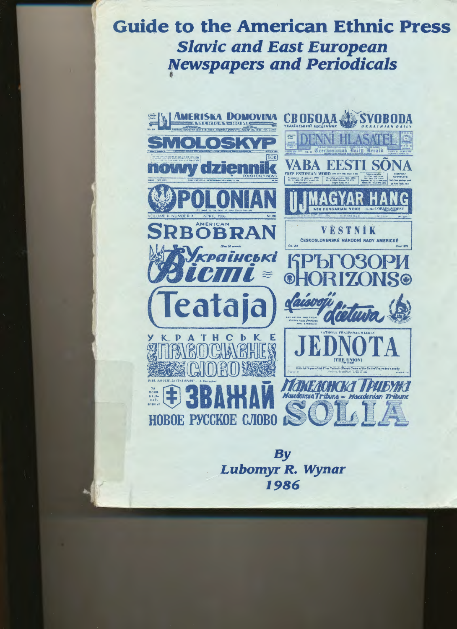# **Guide to the American Ethnic Press Slavic and East European Newspapers and Periodicals**



**By** Lubomyr R. Wynar 1986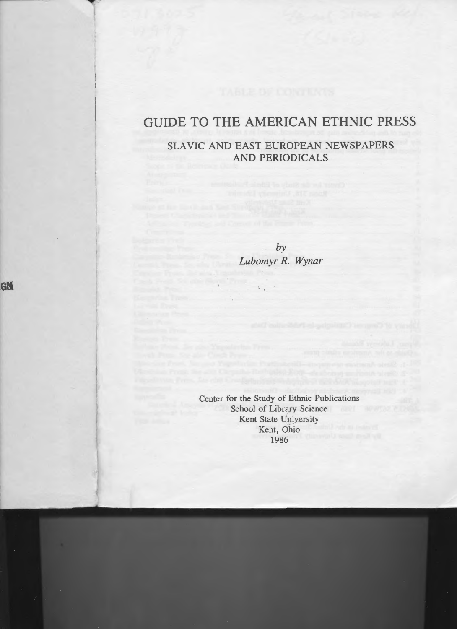# **GUIDE TO THE AMERICAN ETHNIC PRESS**

## SLAVIC AND EAST EUROPEAN NEWSPAPERS AND PERIODICALS

training and a substantial contract and the

*by Lubomyr R. Wynar* 

Center for the Study of Ethnic Publications School of Library Science Kent State University Kent, Ohio 1986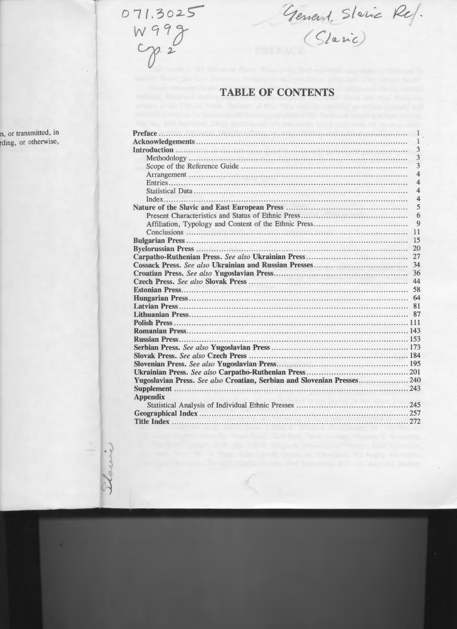$071.3025$ W999

arrive

General Staric Ref.

# **TABLE OF CONTENTS**

|                 | $\overline{1}$          |
|-----------------|-------------------------|
|                 | 1                       |
|                 | 3                       |
|                 | 3                       |
|                 | $\overline{3}$          |
|                 | $\overline{\mathbf{A}}$ |
|                 | $\overline{4}$          |
|                 | $\overline{\mathbf{4}}$ |
|                 | $\overline{4}$          |
|                 | 5                       |
|                 | 6                       |
|                 | 9                       |
|                 | 11                      |
|                 | 15                      |
|                 | 20                      |
|                 | 27                      |
|                 | 34                      |
|                 | 36                      |
|                 | 44                      |
|                 |                         |
|                 |                         |
|                 |                         |
|                 |                         |
|                 |                         |
|                 |                         |
|                 |                         |
|                 |                         |
|                 |                         |
|                 |                         |
|                 |                         |
|                 |                         |
|                 |                         |
| <b>Appendix</b> |                         |
|                 |                         |
|                 |                         |
| Title Index     | 272                     |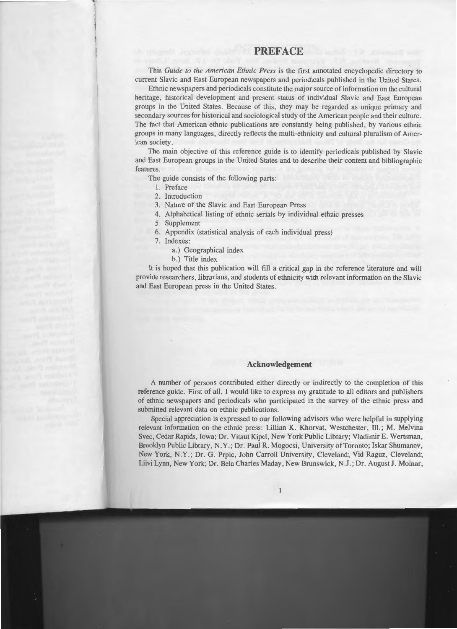### **PREFACE**

This *Guide to the American Ethnic Press* is the first annotated encyclopedic directory to current Slavic and East European newspapers and periodicals published in the United States.

Ethnic newspapers and periodicals constitute the major source of information on the cultural heritage, historical development and present status of individual Slavic and East European groups in the United States. Because of this, they may be regarded as unique primary and secondary sources for historical and sociological study of the American people and their culture. The fact that American ethnic publications are constantly being published, by various ethnic groups in many languages, directly reflects the multi-ethnicity and cultural pluralism of American society.

The main objective of this reference guide is to identify periodicals published by Slavic and East European groups in the United States and to describe their content and bibliographic features.

The guide consists of the following parts:

- I. Preface
- 2. Introduction

3. Nature of the Slavic and East European Press

- 4. Alphabetical listing of ethnic serials by individual ethnic presses
- 5. Supplement
- 6. Appendix (statistical analysis of each individual press)
- 7. Indexes:
	- a.) Geographical index
	- b.) Title index

It is hoped that this publication will fill a critical gap in the reference literature and will provide researchers, librarians, and students of ethnicity with relevant information on the Slavic and East European press in the United States.

#### **Acknowledgement**

A number of persons contributed either directly or indirectly to the completion of this reference guide. First of all, I would like to express my gratitude to all editors and publishers of ethnic newspapers and periodicals who participated in the survey of the ethnic press and submitted relevant data on ethnic publications.

Special appreciation is expressed to our following advisors who were helpful in supplying relevant information on the ethnic press: Lillian **K.** Khorvat, Westchester, Ill.; **M.** Melvina Svec, Cedar Rapids, Iowa; Dr. Vitaut Kipel, New York Public Library; Vladimir E. Wertsman, Brooklyn Public Library, N.Y.; Dr. Paul R. Mogocsi, University of Toronto; Iskar Shumanov, New York, N.Y.; Dr. G. Prpic, John Carroll University, Cleveland; Yid Raguz, Cleveland; Liivi Lynn, New York; Dr. Bela Charles Maday, New Brunswick, N .J.; Dr. August J. Molnar,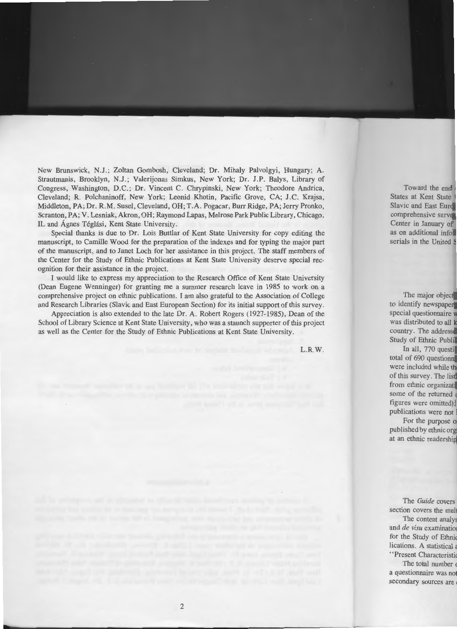New Brunswick, N.J.; Zoltan Gombosh, Cleveland; Dr. Mihaly Palvolgyi, Hungary; A. Strautmanis, Brooklyn, N.J.; Valerijonas Simkus, New York; Dr. J.P. Balys, Library of Congress, Washington, D.C.; Dr. Vincent C. Chrypinski, New York; Theodore Andrica, Cleveland; **R.** Polchaninoff, New York; Leonid Khotin, Pacific Grove, CA; J.C. Krajsa, Middleton, PA; Dr. **R.M.** Susel, Cleveland, OH; T.A. Pogacar, Burr Ridge, PA; Jerry Pronko, Scranton, PA; V. Lesniak, Akron, OH; Raymond Lapas, Melrose Park Public Library, Chicago, IL and Ágnes Téglási, Kent State University.

Special thanks is due to Dr. Lois Buttlar of Kent State University for copy editing the manuscript, to Camille Wood for the preparation of the indexes and for typing the major part of the manuscript, and to Janet Loch for her assistance in this project. The staff members of the Center for the Study of Ethnic Publications at Kent State University deserve special recognition for their assistance in the project.

I would like to express my appreciation to the Research Office of Kent State University (Dean Eugene Wenninger) for granting me a summer research leave in 1985 to work on a comprehensive project on ethnic publications. I am also grateful to the Association of College and Research Libraries (Slavic and East European Section) for its initial support of this survey.

Appreciation is also extended to the late Dr. A. Robert Rogers (1927-1985), Dean of the School of Library Science at Kent State University, who was a staunch supporter of this project as well as the Center for the Study of Ethnic Publications at Kent State University.

**L.R.W.**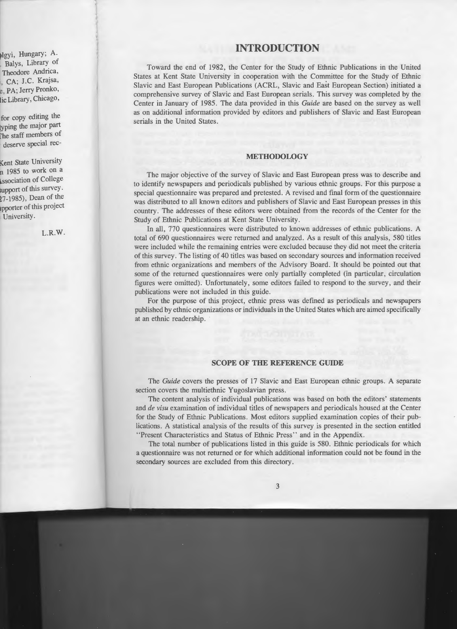### **INTRODUCTION**

Toward the end of 1982, the Center for the Study of Ethnic Publications in the United States at Kent State University in cooperation with the Committee for the Study of Ethnic Slavic and East European Publications (ACRL, Slavic and East European Section) initiated a comprehensive survey of Slavic and East European serials. This survey was completed by the Center in January of 1985. The data provided in this *Guide* are based on the survey as well as on additional information provided by editors and publishers of Slavic and East European serials in the United States.

#### **METHODOLOGY**

The major objective of the survey of Slavic and East European press was to describe and to identify newspapers and periodicals published by various ethnic groups. For this purpose a special questionnaire was prepared and pretested. A revised and final form of the questionnaire was distributed to all known editors and publishers of Slavic and East European presses in this country. The addresses of these editors were obtained from the records of the Center for the Study of Ethnic Publications at Kent State University.

In all, 770 questionnaires were distributed to known addresses of ethnic publications. A total of 690 questionnaires were returned and analyzed. As a result of this analysis, 580 titles were included while the remaining entries were excluded because they did not meet the criteria of this survey. The listing of 40 titles was based on secondary sources and information received from ethnic organizations and members of the Advisory Board. It should be pointed out that some of the returned questionnaires were only partially completed (in particular, circulation figures were omitted). Unfortunately, some editors failed to respond to the survey, and their publications were not included in this guide.

For the purpose of this project, ethnic press was defined as periodicals and newspapers published by ethnic organizations or individuals in the United States which are aimed specifically at an ethnic readership.

#### **SCOPE OF THE REFERENCE GUIDE**

The *Guide* covers the presses of 17 Slavic and East European ethnic groups. A separate section covers the multiethnic Yugoslavian press.

The content analysis of individual publications was based on both the editors' statements and *de visu* examination of individual titles of newspapers and periodicals housed at the Center for the Study of Ethnic Publications. Most editors supplied examination copies of their publications. A statistical analysis of the results of this survey is presented in the section entitled "Present Characteristics and Status of Ethnic Press" and in the Appendix.

The total number of publications listed in this guide is 580. Ethnic periodicals for which a questionnaire was not returned or for which additional information could not be found in the secondary sources are excluded from this directory.